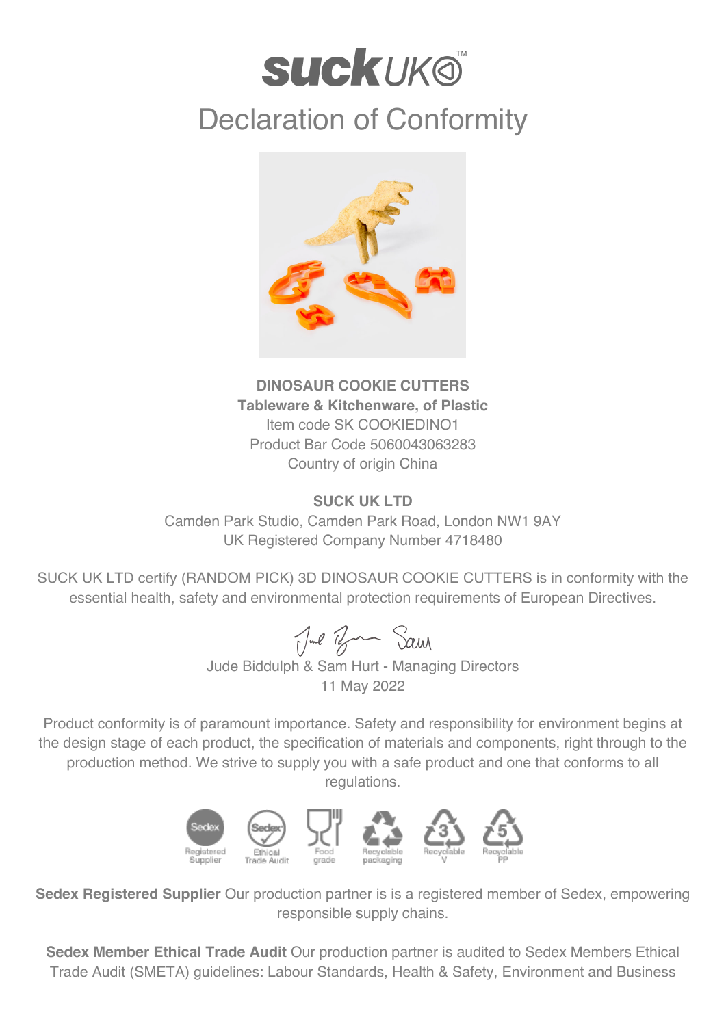## **SUCKUKO** Declaration of Conformity



**DINOSAUR COOKIE CUTTERS Tableware & Kitchenware, of Plastic** Item code SK COOKIEDINO1 Product Bar Code 5060043063283 Country of origin China

## **SUCK UK LTD**

Camden Park Studio, Camden Park Road, London NW1 9AY UK Registered Company Number 4718480

SUCK UK LTD certify (RANDOM PICK) 3D DINOSAUR COOKIE CUTTERS is in conformity with the essential health, safety and environmental protection requirements of European Directives.

Jul Br Sam

Jude Biddulph & Sam Hurt - Managing Directors 11 May 2022

Product conformity is of paramount importance. Safety and responsibility for environment begins at the design stage of each product, the specification of materials and components, right through to the production method. We strive to supply you with a safe product and one that conforms to all regulations.



**Sedex Registered Supplier** Our production partner is is a registered member of Sedex, empowering responsible supply chains.

**Sedex Member Ethical Trade Audit** Our production partner is audited to Sedex Members Ethical Trade Audit (SMETA) guidelines: Labour Standards, Health & Safety, Environment and Business